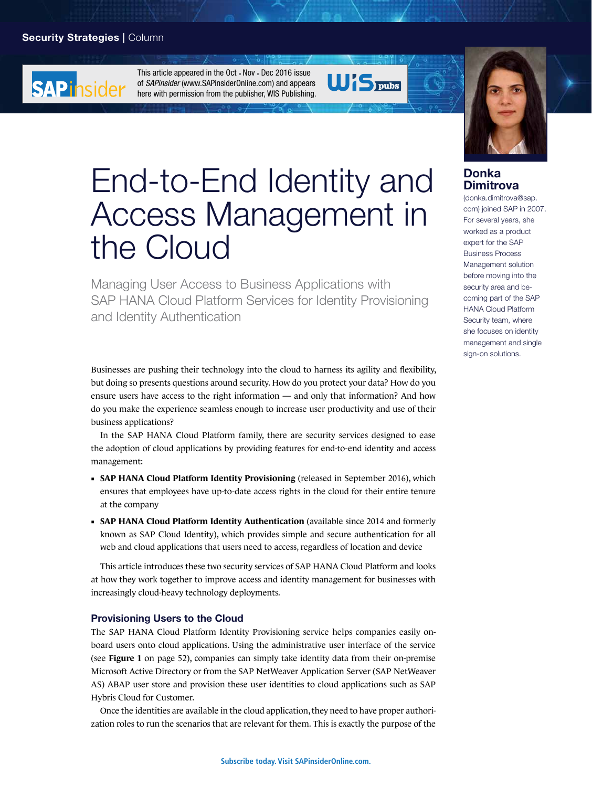## Security Strategies | Column

**SAP** insider

This article appeared in the Oct  $\square$  Nov  $\square$  Dec 2016 issue of *SAPinsider* (www.SAPinsiderOnline.com) and appears [here with permission from the publisher, WIS Publishing.](http://sapinsideronline.com)





# End-to-End Identity and Access Management in the Cloud

Managing User Access to Business Applications with SAP HANA Cloud Platform Services for Identity Provisioning and Identity Authentication

Businesses are pushing their technology into the cloud to harness its agility and flexibility, but doing so presents questions around security. How do you protect your data? How do you ensure users have access to the right information — and only that information? And how do you make the experience seamless enough to increase user productivity and use of their business applications?

In the SAP HANA Cloud Platform family, there are security services designed to ease the adoption of cloud applications by providing features for end-to-end identity and access management:

- **SAP HANA Cloud Platform Identity Provisioning** (released in September 2016), which ensures that employees have up-to-date access rights in the cloud for their entire tenure at the company
- **SAP HANA Cloud Platform Identity Authentication** (available since 2014 and formerly known as SAP Cloud Identity), which provides simple and secure authentication for all web and cloud applications that users need to access, regardless of location and device

This article introduces these two security services of SAP HANA Cloud Platform and looks at how they work together to improve access and identity management for businesses with increasingly cloud-heavy technology deployments.

#### Provisioning Users to the Cloud

The SAP HANA Cloud Platform Identity Provisioning service helps companies easily onboard users onto cloud applications. Using the administrative user interface of the service (see **Figure 1** on page 52), companies can simply take identity data from their on-premise Microsoft Active Directory or from the SAP NetWeaver Application Server (SAP NetWeaver AS) ABAP user store and provision these user identities to cloud applications such as SAP Hybris Cloud for Customer.

Once the identities are available in the cloud application, they need to have proper authorization roles to run the scenarios that are relevant for them. This is exactly the purpose of the

## Donka Dimitrova

(donka.dimitrova@sap. com) joined SAP in 2007. For several years, she worked as a product expert for the SAP Business Process Management solution before moving into the security area and becoming part of the SAP HANA Cloud Platform Security team, where she focuses on identity management and single sign-on solutions.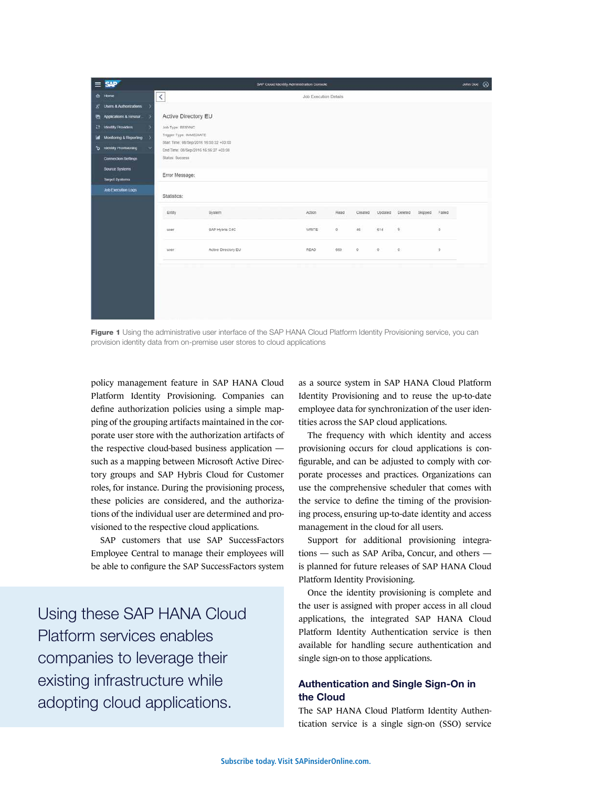| $=$    | <b>SAD</b>                                                                              |                                           |                                                                                                            | SAP Cloud Identity Administration Console |              |         |         |         |         |          | John Doe (9) |  |
|--------|-----------------------------------------------------------------------------------------|-------------------------------------------|------------------------------------------------------------------------------------------------------------|-------------------------------------------|--------------|---------|---------|---------|---------|----------|--------------|--|
|        | <b>☆</b> Home                                                                           | $\hat{~}$<br><b>Job Execution Details</b> |                                                                                                            |                                           |              |         |         |         |         |          |              |  |
|        | 8 Users & Authorizations                                                                |                                           |                                                                                                            |                                           |              |         |         |         |         |          |              |  |
|        | <b>Paradicutions &amp; Resour</b>                                                       |                                           | Active Directory EU                                                                                        |                                           |              |         |         |         |         |          |              |  |
|        | <b>El Identity Providers</b>                                                            | Job Type: RESYNC                          |                                                                                                            |                                           |              |         |         |         |         |          |              |  |
| ы<br>ъ | <b>Monitoring &amp; Reporting</b><br>$\rightarrow$<br><b>Identity Provisioning</b><br>v |                                           | Trager Type: IMMEDIATE<br>Start Time: 08/Sep/2016 16:55 22 +03:00<br>End Time: 08/Sep/2016 16:56:27 +03:00 |                                           |              |         |         |         |         |          |              |  |
|        | Connection Settings                                                                     | Status: Success                           |                                                                                                            |                                           |              |         |         |         |         |          |              |  |
|        | Source Systems<br>Target Systems                                                        | Error Message:                            |                                                                                                            |                                           |              |         |         |         |         |          |              |  |
|        | Job Execution Logs                                                                      | Statistics:                               |                                                                                                            |                                           |              |         |         |         |         |          |              |  |
|        |                                                                                         | Entey                                     | System                                                                                                     | Action                                    | Read         | Created | Updated | Deleted | Skipped | Falled   |              |  |
|        |                                                                                         | user                                      | SAP Hybris C4C                                                                                             | <b>WRITE</b>                              | $\mathbb{Q}$ | 46      | 614     | $\circ$ |         | $\alpha$ |              |  |
|        |                                                                                         | user                                      | Active Directory EU                                                                                        | <b>READ</b>                               | 669          | 0       | $\circ$ | $\circ$ |         | $\alpha$ |              |  |
|        |                                                                                         |                                           |                                                                                                            |                                           |              |         |         |         |         |          |              |  |

Figure 1 Using the administrative user interface of the SAP HANA Cloud Platform Identity Provisioning service, you can provision identity data from on-premise user stores to cloud applications

policy management feature in SAP HANA Cloud Platform Identity Provisioning. Companies can define authorization policies using a simple mapping of the grouping artifacts maintained in the corporate user store with the authorization artifacts of the respective cloud-based business application such as a mapping between Microsoft Active Directory groups and SAP Hybris Cloud for Customer roles, for instance. During the provisioning process, these policies are considered, and the authorizations of the individual user are determined and provisioned to the respective cloud applications.

SAP customers that use SAP SuccessFactors Employee Central to manage their employees will be able to configure the SAP SuccessFactors system

Using these SAP HANA Cloud Platform services enables companies to leverage their existing infrastructure while adopting cloud applications.

as a source system in SAP HANA Cloud Platform Identity Provisioning and to reuse the up-to-date employee data for synchronization of the user identities across the SAP cloud applications.

The frequency with which identity and access provisioning occurs for cloud applications is configurable, and can be adjusted to comply with corporate processes and practices. Organizations can use the comprehensive scheduler that comes with the service to define the timing of the provisioning process, ensuring up-to-date identity and access management in the cloud for all users.

Support for additional provisioning integrations — such as SAP Ariba, Concur, and others is planned for future releases of SAP HANA Cloud Platform Identity Provisioning.

Once the identity provisioning is complete and the user is assigned with proper access in all cloud applications, the integrated SAP HANA Cloud Platform Identity Authentication service is then available for handling secure authentication and single sign-on to those applications.

## Authentication and Single Sign-On in the Cloud

The SAP HANA Cloud Platform Identity Authentication service is a single sign-on (SSO) service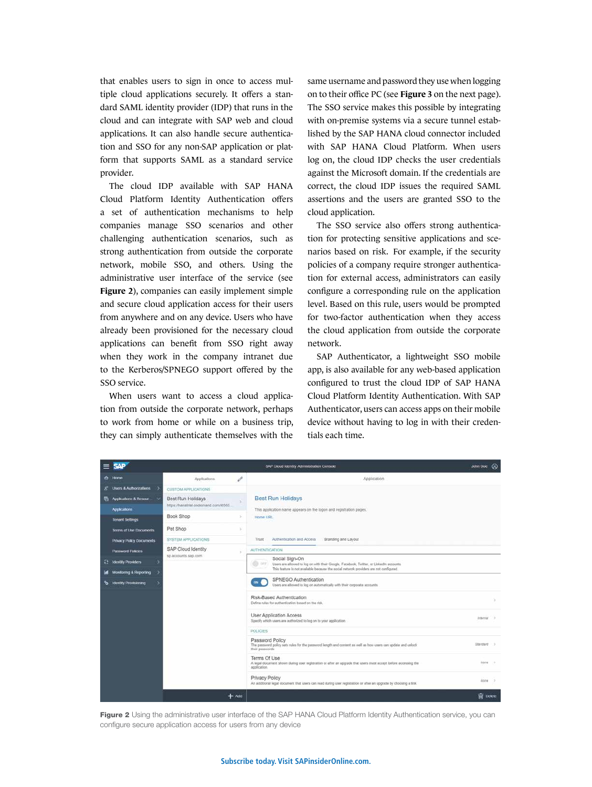that enables users to sign in once to access multiple cloud applications securely. It offers a standard SAML identity provider (IDP) that runs in the cloud and can integrate with SAP web and cloud applications. It can also handle secure authentication and SSO for any non-SAP application or platform that supports SAML as a standard service provider.

The cloud IDP available with SAP HANA Cloud Platform Identity Authentication offers a set of authentication mechanisms to help companies manage SSO scenarios and other challenging authentication scenarios, such as strong authentication from outside the corporate network, mobile SSO, and others. Using the administrative user interface of the service (see **Figure 2**), companies can easily implement simple and secure cloud application access for their users from anywhere and on any device. Users who have already been provisioned for the necessary cloud applications can benefit from SSO right away when they work in the company intranet due to the Kerberos/SPNEGO support offered by the SSO service.

When users want to access a cloud application from outside the corporate network, perhaps to work from home or while on a business trip, they can simply authenticate themselves with the same username and password they use when logging on to their office PC (see **Figure 3** on the next page). The SSO service makes this possible by integrating with on-premise systems via a secure tunnel established by the SAP HANA cloud connector included with SAP HANA Cloud Platform. When users log on, the cloud IDP checks the user credentials against the Microsoft domain. If the credentials are correct, the cloud IDP issues the required SAML assertions and the users are granted SSO to the cloud application.

The SSO service also offers strong authentication for protecting sensitive applications and scenarios based on risk. For example, if the security policies of a company require stronger authentication for external access, administrators can easily configure a corresponding rule on the application level. Based on this rule, users would be prompted for two-factor authentication when they access the cloud application from outside the corporate network.

SAP Authenticator, a lightweight SSO mobile app, is also available for any web-based application configured to trust the cloud IDP of SAP HANA Cloud Platform Identity Authentication. With SAP Authenticator, users can access apps on their mobile device without having to log in with their credentials each time.



Figure 2 Using the administrative user interface of the SAP HANA Cloud Platform Identity Authentication service, you can configure secure application access for users from any device